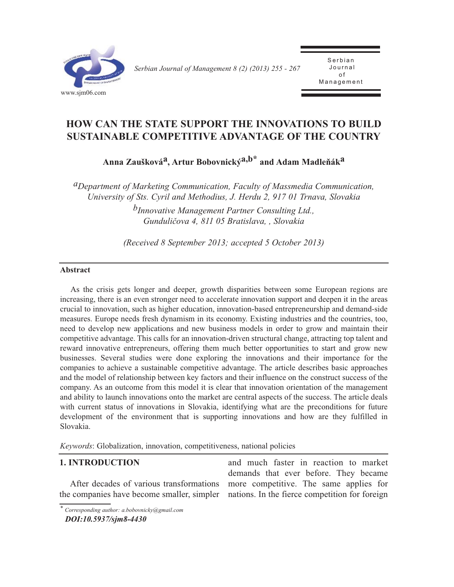

*Serbian Journal of Management 8 (2) (2013) 255 - 267* 

Serbian<br>Journal o f .<br>مد Management

## **HOW CAN THE STATE SUPPORT THE INNOVATIONS TO BUILD SUSTAINABLE COMPETITIVE ADVANTAGE OF THE COUNTRY**

**Anna Zauškováa, Artur Bobovnickýa,b\* and Adam Madleňáka**

*aDepartment of Marketing Communication, Faculty of Massmedia Communication, University of Sts. Cyril and Methodius, J. Herdu 2, 917 01 Trnava, Slovakia bInnovative Management Partner Consulting Ltd., Gunduličova 4, 811 05 Bratislava, , Slovakia*

*(Received 8 September 2013; accepted 5 October 2013)*

#### **Abstract**

As the crisis gets longer and deeper, growth disparities between some European regions are increasing, there is an even stronger need to accelerate innovation support and deepen it in the areas crucial to innovation, such as higher education, innovation-based entrepreneurship and demand-side measures. Europe needs fresh dynamism in its economy. Existing industries and the countries, too, need to develop new applications and new business models in order to grow and maintain their competitive advantage. This calls for an innovation-driven structural change, attracting top talent and reward innovative entrepreneurs, offering them much better opportunities to start and grow new businesses. Several studies were done exploring the innovations and their importance for the companies to achieve a sustainable competitive advantage. The article describes basic approaches and the model of relationship between key factors and their influence on the construct success of the company. As an outcome from this model it is clear that innovation orientation of the management and ability to launch innovations onto the market are central aspects of the success. The article deals with current status of innovations in Slovakia, identifying what are the preconditions for future development of the environment that is supporting innovations and how are they fulfilled in Slovakia.

*Keywords*: Globalization, innovation, competitiveness, national policies

## **1. INTRODUCTION**

After decades of various transformations the companies have become smaller, simpler

and much faster in reaction to market demands that ever before. They became more competitive. The same applies for nations. In the fierce competition for foreign

*<sup>\*</sup> Corresponding author: a.bobovnicky@gmail.com DOI:10.5937/sjm8-4430*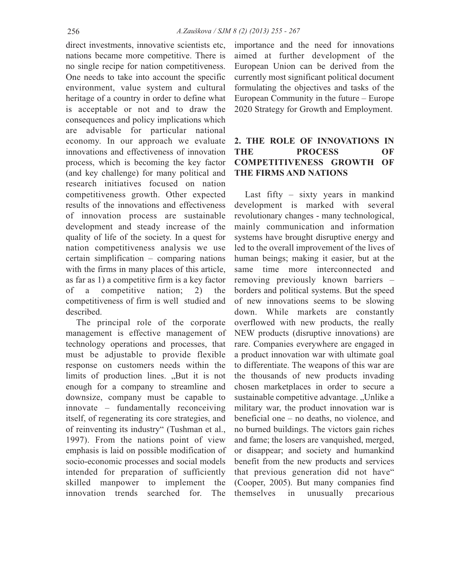direct investments, innovative scientists etc, nations became more competitive. There is no single recipe for nation competitiveness. One needs to take into account the specific environment, value system and cultural heritage of a country in order to define what is acceptable or not and to draw the consequences and policy implications which are advisable for particular national economy. In our approach we evaluate innovations and effectiveness of innovation process, which is becoming the key factor (and key challenge) for many political and research initiatives focused on nation competitiveness growth. Other expected results of the innovations and effectiveness of innovation process are sustainable development and steady increase of the quality of life of the society. In a quest for nation competitiveness analysis we use certain simplification – comparing nations with the firms in many places of this article, as far as 1) a competitive firm is a key factor of a competitive nation; 2) the competitiveness of firm is well studied and described.

The principal role of the corporate management is effective management of technology operations and processes, that must be adjustable to provide flexible response on customers needs within the limits of production lines. "But it is not enough for a company to streamline and downsize, company must be capable to innovate – fundamentally reconceiving itself, of regenerating its core strategies, and of reinventing its industry" (Tushman et al., 1997). From the nations point of view emphasis is laid on possible modification of socio-economic processes and social models intended for preparation of sufficiently skilled manpower to implement the innovation trends searched for. The

importance and the need for innovations aimed at further development of the European Union can be derived from the currently most significant political document formulating the objectives and tasks of the European Community in the future – Europe 2020 Strategy for Growth and Employment.

## **2. THE ROLE OF INNOVATIONS IN THE PROCESS OF COMPETITIVENESS GROWTH OF THE FIRMS AND NATIONS**

Last fifty – sixty years in mankind development is marked with several revolutionary changes - many technological, mainly communication and information systems have brought disruptive energy and led to the overall improvement of the lives of human beings; making it easier, but at the same time more interconnected and removing previously known barriers – borders and political systems. But the speed of new innovations seems to be slowing down. While markets are constantly overflowed with new products, the really NEW products (disruptive innovations) are rare. Companies everywhere are engaged in a product innovation war with ultimate goal to differentiate. The weapons of this war are the thousands of new products invading chosen marketplaces in order to secure a sustainable competitive advantage. "Unlike a military war, the product innovation war is beneficial one – no deaths, no violence, and no burned buildings. The victors gain riches and fame; the losers are vanquished, merged, or disappear; and society and humankind benefit from the new products and services that previous generation did not have" (Cooper, 2005). But many companies find themselves in unusually precarious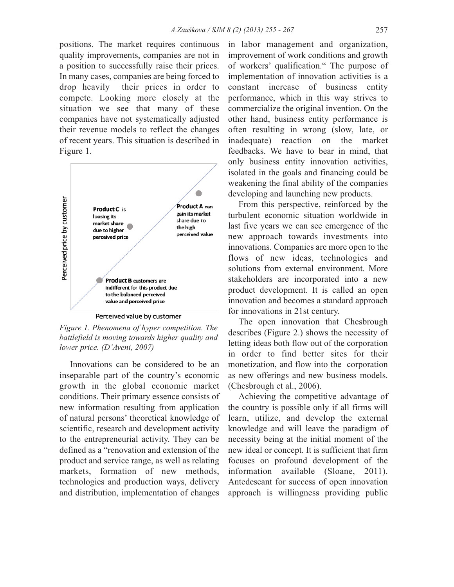positions. The market requires continuous quality improvements, companies are not in a position to successfully raise their prices. In many cases, companies are being forced to drop heavily their prices in order to compete. Looking more closely at the situation we see that many of these companies have not systematically adjusted their revenue models to reflect the changes of recent years. This situation is described in Figure 1.



*Figure 1. Phenomena of hyper competition. The battlefield is moving towards higher quality and lower price. (D'Aveni, 2007)*

Innovations can be considered to be an inseparable part of the country's economic growth in the global economic market conditions. Their primary essence consists of new information resulting from application of natural persons' theoretical knowledge of scientific, research and development activity to the entrepreneurial activity. They can be defined as a "renovation and extension of the product and service range, as well as relating markets, formation of new methods, technologies and production ways, delivery and distribution, implementation of changes in labor management and organization, improvement of work conditions and growth of workers' qualification." The purpose of implementation of innovation activities is a constant increase of business entity performance, which in this way strives to commercialize the original invention. On the other hand, business entity performance is often resulting in wrong (slow, late, or inadequate) reaction on the market feedbacks. We have to bear in mind, that only business entity innovation activities, isolated in the goals and financing could be weakening the final ability of the companies developing and launching new products.

From this perspective, reinforced by the turbulent economic situation worldwide in last five years we can see emergence of the new approach towards investments into innovations. Companies are more open to the flows of new ideas, technologies and solutions from external environment. More stakeholders are incorporated into a new product development. It is called an open innovation and becomes a standard approach for innovations in 21st century.

The open innovation that Chesbrough describes (Figure 2.) shows the necessity of letting ideas both flow out of the corporation in order to find better sites for their monetization, and flow into the corporation as new offerings and new business models. (Chesbrough et al., 2006).

Achieving the competitive advantage of the country is possible only if all firms will learn, utilize, and develop the external knowledge and will leave the paradigm of necessity being at the initial moment of the new ideal or concept. It is sufficient that firm focuses on profound development of the information available (Sloane, 2011). Antedescant for success of open innovation approach is willingness providing public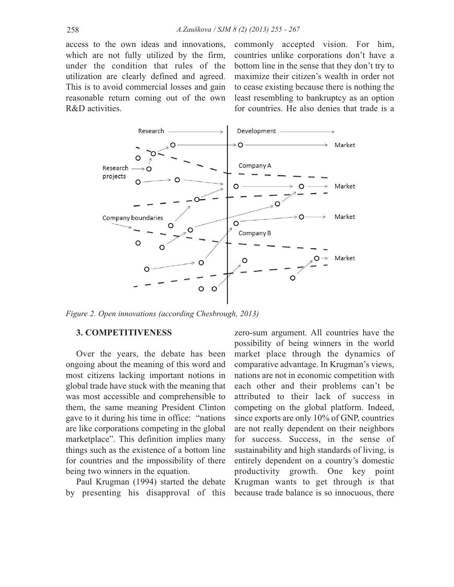access to the own ideas and innovations, which are not fully utilized by the firm, under the condition that rules of the utilization are clearly defined and agreed. This is to avoid commercial losses and gain reasonable return coming out of the own R&D activities.

commonly accepted vision. For him, countries unlike corporations don't have a bottom line in the sense that they don't try to maximize their citizen's wealth in order not to cease existing because there is nothing the least resembling to bankruptcy as an option for countries. He also denies that trade is a



*Figure 2. Open innovations (according Chesbrough, 2013)*

#### **3. COMPETITIVENESS**

Over the years, the debate has been ongoing about the meaning of this word and most citizens lacking important notions in global trade have stuck with the meaning that was most accessible and comprehensible to them, the same meaning President Clinton gave to it during his time in office: "nations are like corporations competing in the global marketplace". This definition implies many things such as the existence of a bottom line for countries and the impossibility of there being two winners in the equation.

Paul Krugman (1994) started the debate by presenting his disapproval of this zero-sum argument. All countries have the possibility of being winners in the world market place through the dynamics of comparative advantage. In Krugman's views, nations are not in economic competition with each other and their problems can't be attributed to their lack of success in competing on the global platform. Indeed, since exports are only 10% of GNP, countries are not really dependent on their neighbors for success. Success, in the sense of sustainability and high standards of living, is entirely dependent on a country's domestic productivity growth. One key point Krugman wants to get through is that because trade balance is so innocuous, there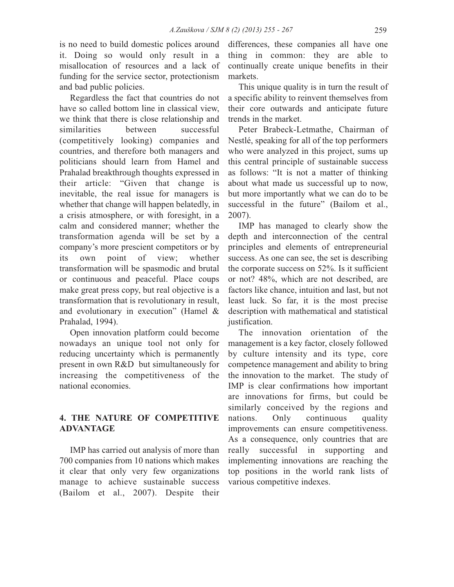is no need to build domestic polices around it. Doing so would only result in a misallocation of resources and a lack of funding for the service sector, protectionism and bad public policies.

Regardless the fact that countries do not have so called bottom line in classical view, we think that there is close relationship and similarities between successful (competitively looking) companies and countries, and therefore both managers and politicians should learn from Hamel and Prahalad breakthrough thoughts expressed in their article: "Given that change is inevitable, the real issue for managers is whether that change will happen belatedly, in a crisis atmosphere, or with foresight, in a calm and considered manner; whether the transformation agenda will be set by a company's more prescient competitors or by its own point of view; whether transformation will be spasmodic and brutal or continuous and peaceful. Place coups make great press copy, but real objective is a transformation that is revolutionary in result, and evolutionary in execution" (Hamel & Prahalad, 1994).

Open innovation platform could become nowadays an unique tool not only for reducing uncertainty which is permanently present in own R&D but simultaneously for increasing the competitiveness of the national economies.

## **4. THE NATURE OF COMPETITIVE ADVANTAGE**

IMP has carried out analysis of more than 700 companies from 10 nations which makes it clear that only very few organizations manage to achieve sustainable success (Bailom et al., 2007). Despite their differences, these companies all have one thing in common: they are able to continually create unique benefits in their markets.

This unique quality is in turn the result of a specific ability to reinvent themselves from their core outwards and anticipate future trends in the market.

Peter Brabeck-Letmathe, Chairman of Nestlé, speaking for all of the top performers who were analyzed in this project, sums up this central principle of sustainable success as follows: "It is not a matter of thinking about what made us successful up to now, but more importantly what we can do to be successful in the future" (Bailom et al., 2007).

IMP has managed to clearly show the depth and interconnection of the central principles and elements of entrepreneurial success. As one can see, the set is describing the corporate success on 52%. Is it sufficient or not? 48%, which are not described, are factors like chance, intuition and last, but not least luck. So far, it is the most precise description with mathematical and statistical justification.

The innovation orientation of the management is a key factor, closely followed by culture intensity and its type, core competence management and ability to bring the innovation to the market. The study of IMP is clear confirmations how important are innovations for firms, but could be similarly conceived by the regions and nations. Only continuous quality improvements can ensure competitiveness. As a consequence, only countries that are really successful in supporting and implementing innovations are reaching the top positions in the world rank lists of various competitive indexes.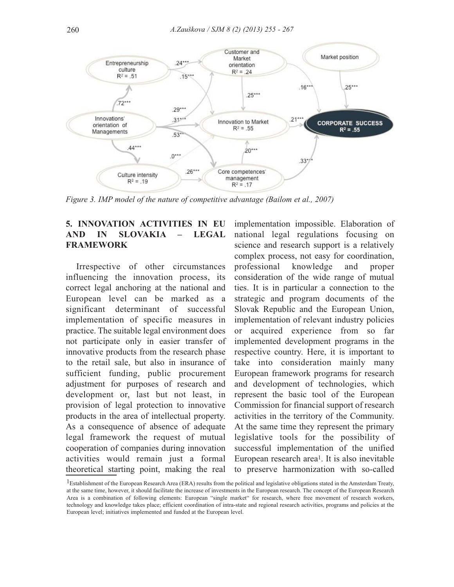

*Figure 3. IMP model of the nature of competitive advantage (Bailom et al., 2007)*

## **5. INNOVATION ACTIVITIES IN EU AND IN SLOVAKIA – LEGAL FRAMEWORK**

Irrespective of other circumstances influencing the innovation process, its correct legal anchoring at the national and European level can be marked as a significant determinant of successful implementation of specific measures in practice. The suitable legal environment does not participate only in easier transfer of innovative products from the research phase to the retail sale, but also in insurance of sufficient funding, public procurement adjustment for purposes of research and development or, last but not least, in provision of legal protection to innovative products in the area of intellectual property. As a consequence of absence of adequate legal framework the request of mutual cooperation of companies during innovation activities would remain just a formal theoretical starting point, making the real

implementation impossible. Elaboration of national legal regulations focusing on science and research support is a relatively complex process, not easy for coordination, professional knowledge and proper consideration of the wide range of mutual ties. It is in particular a connection to the strategic and program documents of the Slovak Republic and the European Union, implementation of relevant industry policies or acquired experience from so far implemented development programs in the respective country. Here, it is important to take into consideration mainly many European framework programs for research and development of technologies, which represent the basic tool of the European Commission for financial support of research activities in the territory of the Community. At the same time they represent the primary legislative tools for the possibility of successful implementation of the unified European research area1. It is also inevitable to preserve harmonization with so-called

<sup>&</sup>lt;sup>1</sup>Establishment of the European Research Area (ERA) results from the political and legislative obligations stated in the Amsterdam Treaty, at the same time, however, it should facilitate the increase of investments in the European research. The concept of the European Research Area is a combination of following elements: European "single market" for research, where free movement of research workers, technology and knowledge takes place; efficient coordination of intra-state and regional research activities, programs and policies at the European level; initiatives implemented and funded at the European level.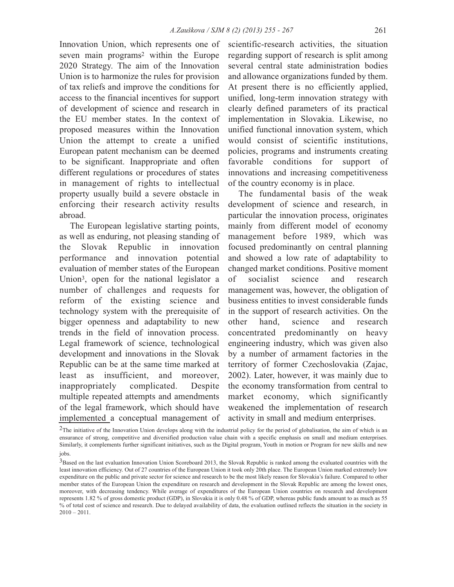Innovation Union, which represents one of seven main programs2 within the Europe 2020 Strategy. The aim of the Innovation Union is to harmonize the rules for provision of tax reliefs and improve the conditions for access to the financial incentives for support of development of science and research in the EU member states. In the context of proposed measures within the Innovation Union the attempt to create a unified European patent mechanism can be deemed to be significant. Inappropriate and often different regulations or procedures of states in management of rights to intellectual property usually build a severe obstacle in enforcing their research activity results abroad.

The European legislative starting points, as well as enduring, not pleasing standing of the Slovak Republic in innovation performance and innovation potential evaluation of member states of the European Union3, open for the national legislator a number of challenges and requests for reform of the existing science and technology system with the prerequisite of bigger openness and adaptability to new trends in the field of innovation process. Legal framework of science, technological development and innovations in the Slovak Republic can be at the same time marked at least as insufficient, and moreover, inappropriately complicated. Despite multiple repeated attempts and amendments of the legal framework, which should have implemented a conceptual management of scientific-research activities, the situation regarding support of research is split among several central state administration bodies and allowance organizations funded by them. At present there is no efficiently applied, unified, long-term innovation strategy with clearly defined parameters of its practical implementation in Slovakia. Likewise, no unified functional innovation system, which would consist of scientific institutions, policies, programs and instruments creating favorable conditions for support of innovations and increasing competitiveness of the country economy is in place.

The fundamental basis of the weak development of science and research, in particular the innovation process, originates mainly from different model of economy management before 1989, which was focused predominantly on central planning and showed a low rate of adaptability to changed market conditions. Positive moment of socialist science and research management was, however, the obligation of business entities to invest considerable funds in the support of research activities. On the other hand, science and research concentrated predominantly on heavy engineering industry, which was given also by a number of armament factories in the territory of former Czechoslovakia (Zajac, 2002). Later, however, it was mainly due to the economy transformation from central to market economy, which significantly weakened the implementation of research activity in small and medium enterprises.

<sup>&</sup>lt;sup>2</sup>The initiative of the Innovation Union develops along with the industrial policy for the period of globalisation, the aim of which is an ensurance of strong, competitive and diversified production value chain with a specific emphasis on small and medium enterprises. Similarly, it complements further significant initiatives, such as the Digital program, Youth in motion or Program for new skills and new jobs.

<sup>&</sup>lt;sup>3</sup>Based on the last evaluation Innovation Union Scoreboard 2013, the Slovak Republic is ranked among the evaluated countries with the least innovation efficiency. Out of 27 countries of the European Union it took only 20th place. The European Union marked extremely low expenditure on the public and private sector for science and research to be the most likely reason for Slovakia's failure. Compared to other member states of the European Union the expenditure on research and development in the Slovak Republic are among the lowest ones, moreover, with decreasing tendency. While average of expenditures of the European Union countries on research and development represents 1.82 % of gross domestic product (GDP), in Slovakia it is only 0.48 % of GDP, whereas public funds amount to as much as 55 % of total cost of science and research. Due to delayed availability of data, the evaluation outlined reflects the situation in the society in  $2010 - 2011.$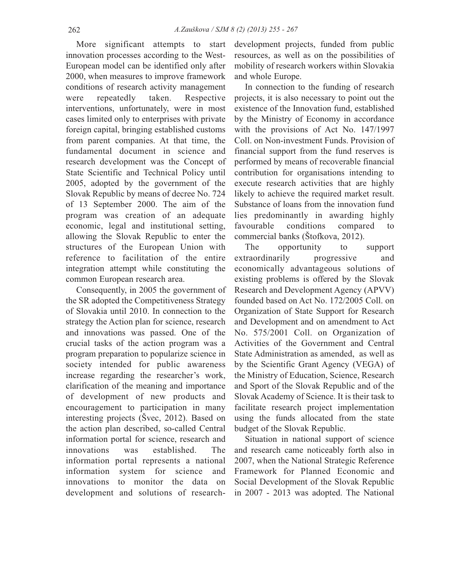More significant attempts to start innovation processes according to the West-European model can be identified only after 2000, when measures to improve framework conditions of research activity management were repeatedly taken. Respective interventions, unfortunately, were in most cases limited only to enterprises with private foreign capital, bringing established customs from parent companies. At that time, the fundamental document in science and research development was the Concept of State Scientific and Technical Policy until 2005, adopted by the government of the Slovak Republic by means of decree No. 724 of 13 September 2000. The aim of the program was creation of an adequate economic, legal and institutional setting, allowing the Slovak Republic to enter the structures of the European Union with reference to facilitation of the entire integration attempt while constituting the common European research area.

Consequently, in 2005 the government of the SR adopted the Competitiveness Strategy of Slovakia until 2010. In connection to the strategy the Action plan for science, research and innovations was passed. One of the crucial tasks of the action program was a program preparation to popularize science in society intended for public awareness increase regarding the researcher's work, clarification of the meaning and importance of development of new products and encouragement to participation in many interesting projects (Švec, 2012). Based on the action plan described, so-called Central information portal for science, research and innovations was established. The information portal represents a national information system for science and innovations to monitor the data on development and solutions of researchdevelopment projects, funded from public resources, as well as on the possibilities of mobility of research workers within Slovakia and whole Europe.

In connection to the funding of research projects, it is also necessary to point out the existence of the Innovation fund, established by the Ministry of Economy in accordance with the provisions of Act No. 147/1997 Coll. on Non-investment Funds. Provision of financial support from the fund reserves is performed by means of recoverable financial contribution for organisations intending to execute research activities that are highly likely to achieve the required market result. Substance of loans from the innovation fund lies predominantly in awarding highly favourable conditions compared to commercial banks (Štofkova, 2012).

The opportunity to support extraordinarily progressive and economically advantageous solutions of existing problems is offered by the Slovak Research and Development Agency (APVV) founded based on Act No. 172/2005 Coll. on Organization of State Support for Research and Development and on amendment to Act No. 575/2001 Coll. on Organization of Activities of the Government and Central State Administration as amended, as well as by the Scientific Grant Agency (VEGA) of the Ministry of Education, Science, Research and Sport of the Slovak Republic and of the Slovak Academy of Science. It is their task to facilitate research project implementation using the funds allocated from the state budget of the Slovak Republic.

Situation in national support of science and research came noticeably forth also in 2007, when the National Strategic Reference Framework for Planned Economic and Social Development of the Slovak Republic in 2007 - 2013 was adopted. The National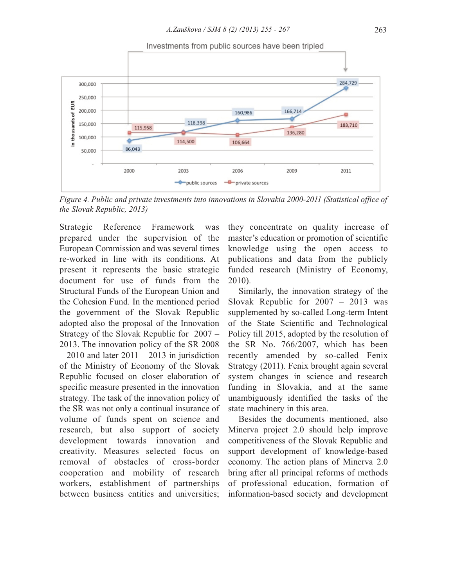

*Figure 4. Public and private investments into innovations in Slovakia 2000-2011 (Statistical office of the Slovak Republic, 2013)*

Strategic Reference Framework was prepared under the supervision of the European Commission and was several times re-worked in line with its conditions. At present it represents the basic strategic document for use of funds from the Structural Funds of the European Union and the Cohesion Fund. In the mentioned period the government of the Slovak Republic adopted also the proposal of the Innovation Strategy of the Slovak Republic for 2007 – 2013. The innovation policy of the SR 2008  $-2010$  and later  $2011 - 2013$  in jurisdiction of the Ministry of Economy of the Slovak Republic focused on closer elaboration of specific measure presented in the innovation strategy. The task of the innovation policy of the SR was not only a continual insurance of volume of funds spent on science and research, but also support of society development towards innovation and creativity. Measures selected focus on removal of obstacles of cross-border cooperation and mobility of research workers, establishment of partnerships between business entities and universities;

they concentrate on quality increase of master's education or promotion of scientific knowledge using the open access to publications and data from the publicly funded research (Ministry of Economy, 2010).

Similarly, the innovation strategy of the Slovak Republic for 2007 – 2013 was supplemented by so-called Long-term Intent of the State Scientific and Technological Policy till 2015, adopted by the resolution of the SR No. 766/2007, which has been recently amended by so-called Fenix Strategy (2011). Fenix brought again several system changes in science and research funding in Slovakia, and at the same unambiguously identified the tasks of the state machinery in this area.

Besides the documents mentioned, also Minerva project 2.0 should help improve competitiveness of the Slovak Republic and support development of knowledge-based economy. The action plans of Minerva 2.0 bring after all principal reforms of methods of professional education, formation of information-based society and development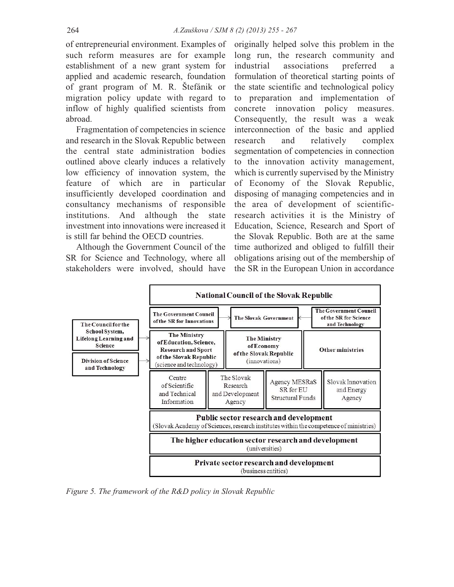of entrepreneurial environment. Examples of such reform measures are for example establishment of a new grant system for applied and academic research, foundation of grant program of M. R. Štefánik or migration policy update with regard to inflow of highly qualified scientists from abroad.

Fragmentation of competencies in science and research in the Slovak Republic between the central state administration bodies outlined above clearly induces a relatively low efficiency of innovation system, the feature of which are in particular insufficiently developed coordination and consultancy mechanisms of responsible institutions. And although the state investment into innovations were increased it is still far behind the OECD countries.

Although the Government Council of the SR for Science and Technology, where all stakeholders were involved, should have originally helped solve this problem in the long run, the research community and industrial associations preferred a formulation of theoretical starting points of the state scientific and technological policy to preparation and implementation of concrete innovation policy measures. Consequently, the result was a weak interconnection of the basic and applied research and relatively complex segmentation of competencies in connection to the innovation activity management, which is currently supervised by the Ministry of Economy of the Slovak Republic, disposing of managing competencies and in the area of development of scientificresearch activities it is the Ministry of Education, Science, Research and Sport of the Slovak Republic. Both are at the same time authorized and obliged to fulfill their obligations arising out of the membership of the SR in the European Union in accordance



*Figure 5. The framework of the R&D policy in Slovak Republic*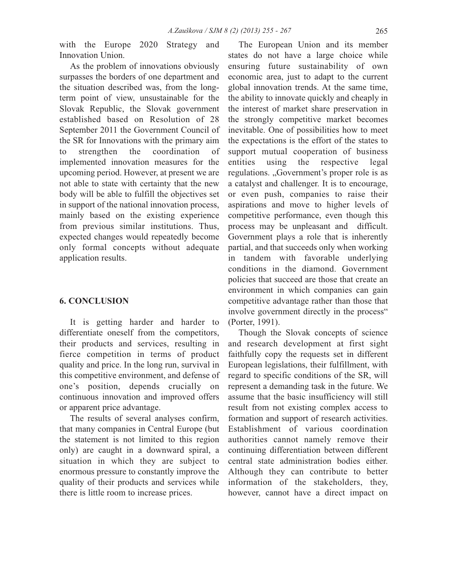with the Europe 2020 Strategy and Innovation Union.

As the problem of innovations obviously surpasses the borders of one department and the situation described was, from the longterm point of view, unsustainable for the Slovak Republic, the Slovak government established based on Resolution of 28 September 2011 the Government Council of the SR for Innovations with the primary aim to strengthen the coordination of implemented innovation measures for the upcoming period. However, at present we are not able to state with certainty that the new body will be able to fulfill the objectives set in support of the national innovation process, mainly based on the existing experience from previous similar institutions. Thus, expected changes would repeatedly become only formal concepts without adequate application results.

## **6. CONCLUSION**

It is getting harder and harder to differentiate oneself from the competitors, their products and services, resulting in fierce competition in terms of product quality and price. In the long run, survival in this competitive environment, and defense of one's position, depends crucially on continuous innovation and improved offers or apparent price advantage.

The results of several analyses confirm, that many companies in Central Europe (but the statement is not limited to this region only) are caught in a downward spiral, a situation in which they are subject to enormous pressure to constantly improve the quality of their products and services while there is little room to increase prices.

The European Union and its member states do not have a large choice while ensuring future sustainability of own economic area, just to adapt to the current global innovation trends. At the same time, the ability to innovate quickly and cheaply in the interest of market share preservation in the strongly competitive market becomes inevitable. One of possibilities how to meet the expectations is the effort of the states to support mutual cooperation of business entities using the respective legal regulations. "Government's proper role is as a catalyst and challenger. It is to encourage, or even push, companies to raise their aspirations and move to higher levels of competitive performance, even though this process may be unpleasant and difficult. Government plays a role that is inherently partial, and that succeeds only when working in tandem with favorable underlying conditions in the diamond. Government policies that succeed are those that create an environment in which companies can gain competitive advantage rather than those that involve government directly in the process" (Porter, 1991).

Though the Slovak concepts of science and research development at first sight faithfully copy the requests set in different European legislations, their fulfillment, with regard to specific conditions of the SR, will represent a demanding task in the future. We assume that the basic insufficiency will still result from not existing complex access to formation and support of research activities. Establishment of various coordination authorities cannot namely remove their continuing differentiation between different central state administration bodies either. Although they can contribute to better information of the stakeholders, they, however, cannot have a direct impact on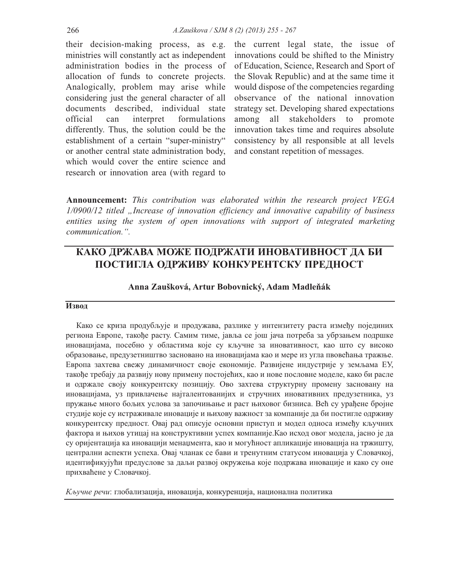their decision-making process, as e.g. ministries will constantly act as independent administration bodies in the process of allocation of funds to concrete projects. Analogically, problem may arise while considering just the general character of all documents described, individual state official can interpret formulations differently. Thus, the solution could be the establishment of a certain "super-ministry" or another central state administration body, which would cover the entire science and research or innovation area (with regard to

the current legal state, the issue of innovations could be shifted to the Ministry of Education, Science, Research and Sport of the Slovak Republic) and at the same time it would dispose of the competencies regarding observance of the national innovation strategy set. Developing shared expectations among all stakeholders to promote innovation takes time and requires absolute consistency by all responsible at all levels and constant repetition of messages.

**Announcement:** *This contribution was elaborated within the research project VEGA 1/0900/12 titled "Increase of innovation efficiency and innovative capability of business entities using the system of open innovations with support of integrated marketing communication.".*

# **КАКО ДРЖАВА МОЖЕ ПОДРЖАТИ ИНОВАТИВНОСТ ДА БИ ПОСТИГЛА ОДРЖИВУ КОНКУРЕНТСКУ ПРЕДНОСТ**

## **Anna Zaušková, Artur Bobovnický, Adam Madleňák**

#### **Извод**

Како се криза продубљује и продужава, разлике у интензитету раста између појединих региона Европе, такође расту. Самим тиме, јавља се још јача потреба за убрзањем подршке иновацијама, посебно у областима које су кључне за иновативност, као што су високо образовање, предузетништво засновано на иновацијама као и мере из угла пвовећања тражње. Европа захтева свежу динамичност своје економије. Развијене индустрије у земљама ЕУ, такође требају да развију нову примену постојећих, као и нове пословне моделе, како би расле и одржале своју конкурентску позицију. Ово захтева структурну промену засновану на иновацијама, уз привлачење најталентованијих и стручних иновативних предузетника, уз пружање много бољих услова за започињање и раст њиховог бизниса. Већ су урађене бројне студије које су истраживале иновације и њихову важност за компаније да би постигле одрживу конкурентску предност. Овај рад описује основни приступ и модел односа између кључних фактора и њихов утицај на конструктивни успех компаније.Као исход овог модела, јасно је да су оријентација ка иновацији менаџмента, као и могућност апликације иновација на тржишту, централни аспекти успеха. Овај чланак се бави и тренутним статусом иновација у Словачкој, идентификујући предуслове за даљи развој окружења које подржава иновације и како су оне прихваћене у Словачкој.

*Кључне речи*: глобализација, иновација, конкуренција, национална политика